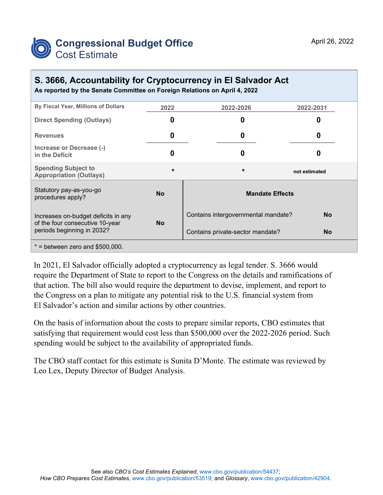

## **S. 3666, Accountability for Cryptocurrency in El Salvador Act**

**As reported by the Senate Committee on Foreign Relations on April 4, 2022**

| By Fiscal Year, Millions of Dollars                                                                  | 2022      | 2022-2026                           | 2022-2031     |
|------------------------------------------------------------------------------------------------------|-----------|-------------------------------------|---------------|
| <b>Direct Spending (Outlays)</b>                                                                     | O         | 0                                   | o             |
| <b>Revenues</b>                                                                                      | 0         | 0                                   | O             |
| Increase or Decrease (-)<br>in the Deficit                                                           | Ω         | 0                                   |               |
| <b>Spending Subject to</b><br><b>Appropriation (Outlays)</b>                                         | $\star$   | $\star$                             | not estimated |
| Statutory pay-as-you-go<br>procedures apply?                                                         | <b>No</b> | <b>Mandate Effects</b>              |               |
| Increases on-budget deficits in any<br>of the four consecutive 10-year<br>periods beginning in 2032? | <b>No</b> | Contains intergovernmental mandate? | <b>No</b>     |
|                                                                                                      |           | Contains private-sector mandate?    | <b>No</b>     |
| $*$ = between zero and \$500,000.                                                                    |           |                                     |               |

In 2021, El Salvador officially adopted a cryptocurrency as legal tender. S. 3666 would require the Department of State to report to the Congress on the details and ramifications of that action. The bill also would require the department to devise, implement, and report to the Congress on a plan to mitigate any potential risk to the U.S. financial system from El Salvador's action and similar actions by other countries.

On the basis of information about the costs to prepare similar reports, CBO estimates that satisfying that requirement would cost less than \$500,000 over the 2022-2026 period. Such spending would be subject to the availability of appropriated funds.

The CBO staff contact for this estimate is Sunita D'Monte. The estimate was reviewed by Leo Lex, Deputy Director of Budget Analysis.